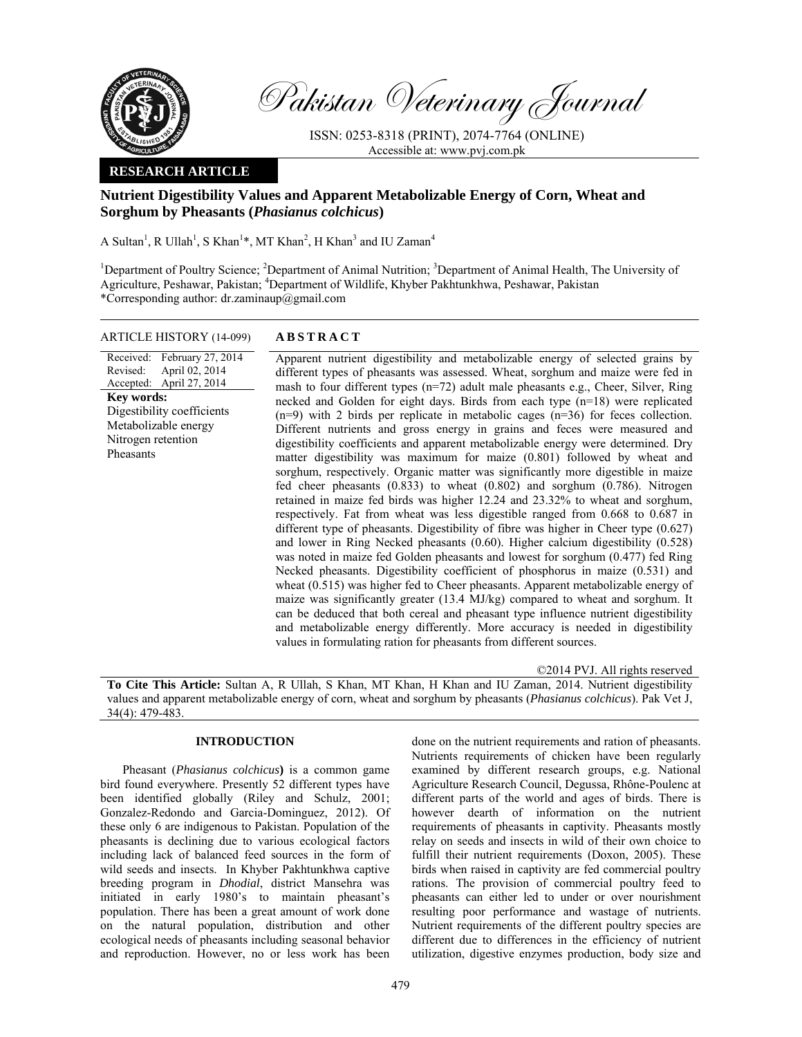

Pakistan Veterinary Journal

ISSN: 0253-8318 (PRINT), 2074-7764 (ONLINE) Accessible at: www.pvj.com.pk

### **RESEARCH ARTICLE**

# **Nutrient Digestibility Values and Apparent Metabolizable Energy of Corn, Wheat and Sorghum by Pheasants (***Phasianus colchicus***)**

A Sultan<sup>1</sup>, R Ullah<sup>1</sup>, S Khan<sup>1</sup>\*, MT Khan<sup>2</sup>, H Khan<sup>3</sup> and IU Zaman<sup>4</sup>

<sup>1</sup>Department of Poultry Science; <sup>2</sup>Department of Animal Nutrition; <sup>3</sup>Department of Animal Health, The University of Agriculture, Peshawar, Pakistan; <sup>4</sup>Department of Wildlife, Khyber Pakhtunkhwa, Peshawar, Pakistan \*Corresponding author: dr.zaminaup@gmail.com

# ARTICLE HISTORY (14-099) **ABSTRACT**

Received: February 27, 2014 Revised: Accepted: April 27, 2014 April 02, 2014 **Key words:**  Digestibility coefficients Metabolizable energy Nitrogen retention Pheasants

 Apparent nutrient digestibility and metabolizable energy of selected grains by different types of pheasants was assessed. Wheat, sorghum and maize were fed in mash to four different types (n=72) adult male pheasants e.g., Cheer, Silver, Ring necked and Golden for eight days. Birds from each type (n=18) were replicated (n=9) with 2 birds per replicate in metabolic cages (n=36) for feces collection. Different nutrients and gross energy in grains and feces were measured and digestibility coefficients and apparent metabolizable energy were determined. Dry matter digestibility was maximum for maize (0.801) followed by wheat and sorghum, respectively. Organic matter was significantly more digestible in maize fed cheer pheasants (0.833) to wheat (0.802) and sorghum (0.786). Nitrogen retained in maize fed birds was higher 12.24 and 23.32% to wheat and sorghum, respectively. Fat from wheat was less digestible ranged from 0.668 to 0.687 in different type of pheasants. Digestibility of fibre was higher in Cheer type (0.627) and lower in Ring Necked pheasants (0.60). Higher calcium digestibility (0.528) was noted in maize fed Golden pheasants and lowest for sorghum (0.477) fed Ring Necked pheasants. Digestibility coefficient of phosphorus in maize (0.531) and wheat (0.515) was higher fed to Cheer pheasants. Apparent metabolizable energy of maize was significantly greater (13.4 MJ/kg) compared to wheat and sorghum. It can be deduced that both cereal and pheasant type influence nutrient digestibility and metabolizable energy differently. More accuracy is needed in digestibility values in formulating ration for pheasants from different sources.

©2014 PVJ. All rights reserved **To Cite This Article:** Sultan A, R Ullah, S Khan, MT Khan, H Khan and IU Zaman, 2014. Nutrient digestibility values and apparent metabolizable energy of corn, wheat and sorghum by pheasants (*Phasianus colchicus*). Pak Vet J, 34(4): 479-483.

### **INTRODUCTION**

Pheasant (*Phasianus colchicus***)** is a common game bird found everywhere. Presently 52 different types have been identified globally (Riley and Schulz, 2001; Gonzalez-Redondo and Garcia-Dominguez, 2012). Of these only 6 are indigenous to Pakistan. Population of the pheasants is declining due to various ecological factors including lack of balanced feed sources in the form of wild seeds and insects. In Khyber Pakhtunkhwa captive breeding program in *Dhodial*, district Mansehra was initiated in early 1980's to maintain pheasant's population. There has been a great amount of work done on the natural population, distribution and other ecological needs of pheasants including seasonal behavior and reproduction. However, no or less work has been

done on the nutrient requirements and ration of pheasants. Nutrients requirements of chicken have been regularly examined by different research groups, e.g. National Agriculture Research Council, Degussa, Rhône-Poulenc at different parts of the world and ages of birds. There is however dearth of information on the nutrient requirements of pheasants in captivity. Pheasants mostly relay on seeds and insects in wild of their own choice to fulfill their nutrient requirements (Doxon, 2005). These birds when raised in captivity are fed commercial poultry rations. The provision of commercial poultry feed to pheasants can either led to under or over nourishment resulting poor performance and wastage of nutrients. Nutrient requirements of the different poultry species are different due to differences in the efficiency of nutrient utilization, digestive enzymes production, body size and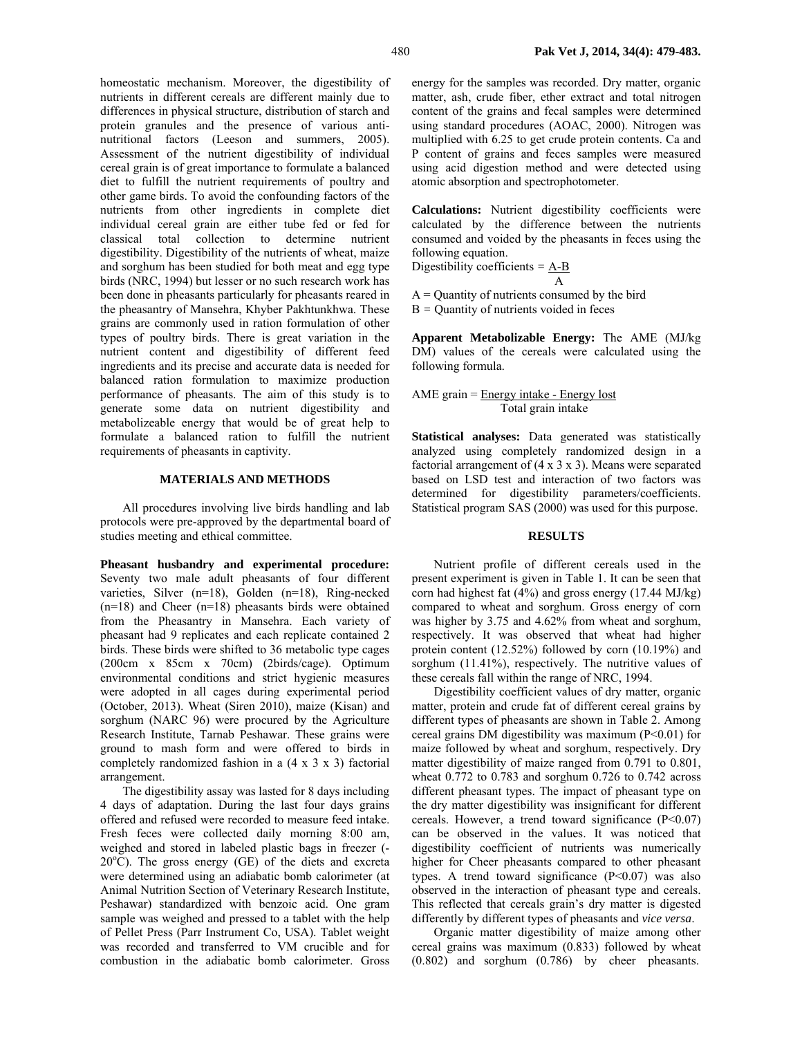homeostatic mechanism. Moreover, the digestibility of nutrients in different cereals are different mainly due to differences in physical structure, distribution of starch and protein granules and the presence of various antinutritional factors (Leeson and summers, 2005). Assessment of the nutrient digestibility of individual cereal grain is of great importance to formulate a balanced diet to fulfill the nutrient requirements of poultry and other game birds. To avoid the confounding factors of the nutrients from other ingredients in complete diet individual cereal grain are either tube fed or fed for classical total collection to determine nutrient digestibility. Digestibility of the nutrients of wheat, maize and sorghum has been studied for both meat and egg type birds (NRC, 1994) but lesser or no such research work has been done in pheasants particularly for pheasants reared in the pheasantry of Mansehra, Khyber Pakhtunkhwa. These grains are commonly used in ration formulation of other types of poultry birds. There is great variation in the nutrient content and digestibility of different feed ingredients and its precise and accurate data is needed for balanced ration formulation to maximize production performance of pheasants. The aim of this study is to generate some data on nutrient digestibility and metabolizeable energy that would be of great help to formulate a balanced ration to fulfill the nutrient requirements of pheasants in captivity.

#### **MATERIALS AND METHODS**

All procedures involving live birds handling and lab protocols were pre-approved by the departmental board of studies meeting and ethical committee.

**Pheasant husbandry and experimental procedure:**  Seventy two male adult pheasants of four different varieties, Silver (n=18), Golden (n=18), Ring-necked  $(n=18)$  and Cheer  $(n=18)$  pheasants birds were obtained from the Pheasantry in Mansehra. Each variety of pheasant had 9 replicates and each replicate contained 2 birds. These birds were shifted to 36 metabolic type cages (200cm x 85cm x 70cm) (2birds/cage). Optimum environmental conditions and strict hygienic measures were adopted in all cages during experimental period (October, 2013). Wheat (Siren 2010), maize (Kisan) and sorghum (NARC 96) were procured by the Agriculture Research Institute, Tarnab Peshawar. These grains were ground to mash form and were offered to birds in completely randomized fashion in a (4 x 3 x 3) factorial arrangement.

The digestibility assay was lasted for 8 days including 4 days of adaptation. During the last four days grains offered and refused were recorded to measure feed intake. Fresh feces were collected daily morning 8:00 am, weighed and stored in labeled plastic bags in freezer (-  $20^{\circ}$ C). The gross energy (GE) of the diets and excreta were determined using an adiabatic bomb calorimeter (at Animal Nutrition Section of Veterinary Research Institute, Peshawar) standardized with benzoic acid. One gram sample was weighed and pressed to a tablet with the help of Pellet Press (Parr Instrument Co, USA). Tablet weight was recorded and transferred to VM crucible and for combustion in the adiabatic bomb calorimeter. Gross

energy for the samples was recorded. Dry matter, organic matter, ash, crude fiber, ether extract and total nitrogen content of the grains and fecal samples were determined using standard procedures (AOAC, 2000). Nitrogen was multiplied with 6.25 to get crude protein contents. Ca and P content of grains and feces samples were measured using acid digestion method and were detected using atomic absorption and spectrophotometer.

**Calculations:** Nutrient digestibility coefficients were calculated by the difference between the nutrients consumed and voided by the pheasants in feces using the following equation.

Digestibility coefficients *=* A-B

 A  $A =$ Quantity of nutrients consumed by the bird B *=* Quantity of nutrients voided in feces

**Apparent Metabolizable Energy:** The AME (MJ/kg DM) values of the cereals were calculated using the following formula.

AME grain = Energy intake - Energy lost Total grain intake

**Statistical analyses:** Data generated was statistically analyzed using completely randomized design in a factorial arrangement of  $(4 \times 3 \times 3)$ . Means were separated based on LSD test and interaction of two factors was determined for digestibility parameters/coefficients. Statistical program SAS (2000) was used for this purpose.

#### **RESULTS**

Nutrient profile of different cereals used in the present experiment is given in Table 1. It can be seen that corn had highest fat (4%) and gross energy (17.44 MJ/kg) compared to wheat and sorghum. Gross energy of corn was higher by 3.75 and 4.62% from wheat and sorghum, respectively. It was observed that wheat had higher protein content (12.52%) followed by corn (10.19%) and sorghum (11.41%), respectively. The nutritive values of these cereals fall within the range of NRC, 1994.

Digestibility coefficient values of dry matter, organic matter, protein and crude fat of different cereal grains by different types of pheasants are shown in Table 2. Among cereal grains DM digestibility was maximum (P<0.01) for maize followed by wheat and sorghum, respectively. Dry matter digestibility of maize ranged from 0.791 to 0.801, wheat 0.772 to 0.783 and sorghum 0.726 to 0.742 across different pheasant types. The impact of pheasant type on the dry matter digestibility was insignificant for different cereals. However, a trend toward significance  $(P<0.07)$ can be observed in the values. It was noticed that digestibility coefficient of nutrients was numerically higher for Cheer pheasants compared to other pheasant types. A trend toward significance  $(P<0.07)$  was also observed in the interaction of pheasant type and cereals. This reflected that cereals grain's dry matter is digested differently by different types of pheasants and *vice versa*.

Organic matter digestibility of maize among other cereal grains was maximum (0.833) followed by wheat (0.802) and sorghum (0.786) by cheer pheasants.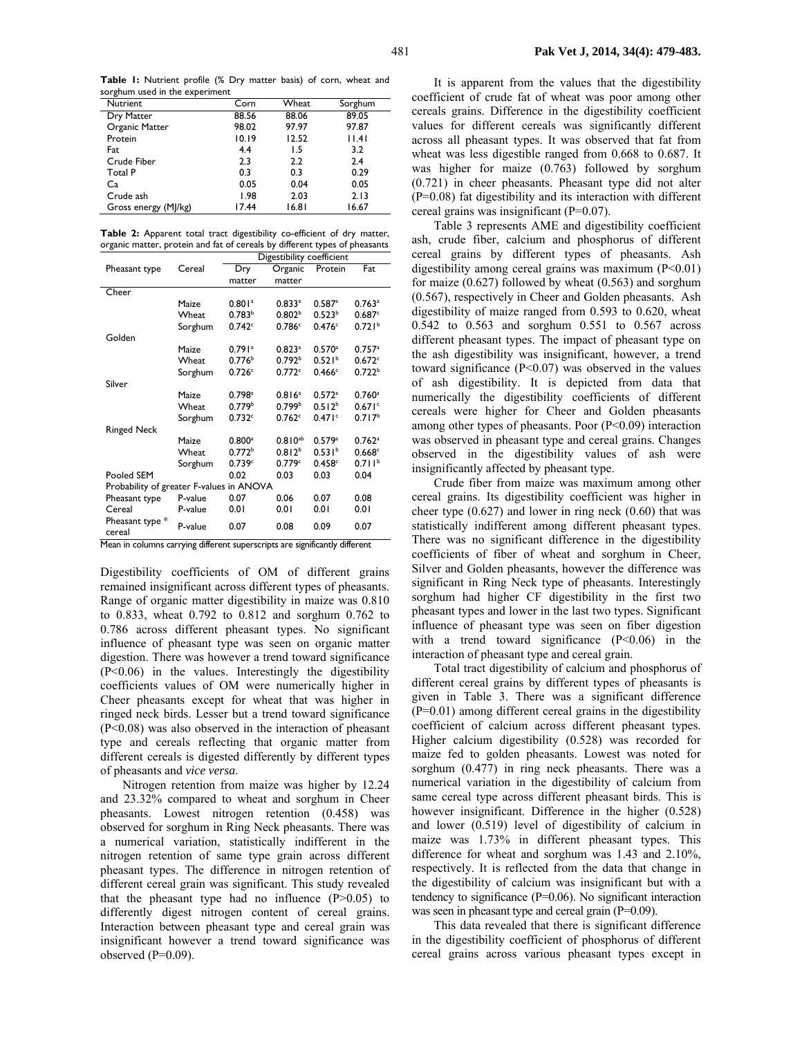**Table 1:** Nutrient profile (% Dry matter basis) of corn, wheat and sorghum used in the experiment

| Corn  | Wheat | Sorghum |  |
|-------|-------|---------|--|
| 88.56 | 88.06 | 89.05   |  |
| 98.02 | 97.97 | 97.87   |  |
| 10.19 | 12.52 | 1.4     |  |
| 4.4   | 1.5   | 3.2     |  |
| 2.3   | 2.2   | 2.4     |  |
| 0.3   | 0.3   | 0.29    |  |
| 0.05  | 0.04  | 0.05    |  |
| 1.98  | 2.03  | 2.13    |  |
| 17.44 | 16.81 | 16.67   |  |
|       |       |         |  |

**Table 2:** Apparent total tract digestibility co-efficient of dry matter, organic matter, protein and fat of cereals by different types of pheasants

|                                          |         | Digestibility coefficient |                      |                      |                      |  |  |
|------------------------------------------|---------|---------------------------|----------------------|----------------------|----------------------|--|--|
| Pheasant type                            | Cereal  | Dry                       | Organic              | Protein              | Fat                  |  |  |
|                                          |         | matter                    | matter               |                      |                      |  |  |
| Cheer                                    |         |                           |                      |                      |                      |  |  |
|                                          | Maize   | $0.801$ <sup>a</sup>      | 0.833a               | 0.587a               | $0.763$ <sup>a</sup> |  |  |
|                                          | Wheat   | 0.783 <sup>b</sup>        | 0.802 <sup>b</sup>   | 0.523 <sup>b</sup>   | 0.687c               |  |  |
|                                          | Sorghum | 0.742c                    | 0.786c               | 0.476c               | 0.721 <sup>b</sup>   |  |  |
| Golden                                   |         |                           |                      |                      |                      |  |  |
|                                          | Maize   | $0.791$ <sup>a</sup>      | $0.823$ <sup>a</sup> | $0.570$ <sup>a</sup> | $0.757$ <sup>a</sup> |  |  |
|                                          | Wheat   | 0.776 <sup>b</sup>        | 0.792 <sup>b</sup>   | 0.521 <sup>b</sup>   | 0.672c               |  |  |
|                                          | Sorghum | 0.726c                    | 0.772c               | 0.466c               | 0.722 <sup>b</sup>   |  |  |
| Silver                                   |         |                           |                      |                      |                      |  |  |
|                                          | Maize   | $0.798$ <sup>a</sup>      | 0.816 <sup>a</sup>   | $0.572$ <sup>a</sup> | $0.760$ <sup>a</sup> |  |  |
|                                          | Wheat   | 0.779 <sup>b</sup>        | 0.799 <sup>b</sup>   | 0.512 <sup>b</sup>   | 0.671c               |  |  |
|                                          | Sorghum | 0.732c                    | 0.762c               | 0.471c               | 0.717 <sup>b</sup>   |  |  |
| <b>Ringed Neck</b>                       |         |                           |                      |                      |                      |  |  |
|                                          | Maize   | $0.800$ <sup>a</sup>      | $0.810^{ab}$         | 0.579a               | $0.762$ <sup>a</sup> |  |  |
|                                          | Wheat   | 0.772 <sup>b</sup>        | 0.812 <sup>b</sup>   | 0.531 <sup>b</sup>   | 0.668c               |  |  |
|                                          | Sorghum | 0.739c                    | 0.779c               | 0.458c               | 0.711 <sup>b</sup>   |  |  |
| Pooled SEM                               |         | 0.02                      | 0.03                 | 0.03                 | 0.04                 |  |  |
| Probability of greater F-values in ANOVA |         |                           |                      |                      |                      |  |  |
| Pheasant type                            | P-value | 0.07                      | 0.06                 | 0.07                 | 0.08                 |  |  |
| Cereal                                   | P-value | 0.01                      | 0.01                 | 0.01                 | 0.01                 |  |  |
| Pheasant type *<br>cereal                | P-value | 0.07                      | 0.08                 | 0.09                 | 0.07                 |  |  |

Mean in columns carrying different superscripts are significantly different

Digestibility coefficients of OM of different grains remained insignificant across different types of pheasants. Range of organic matter digestibility in maize was 0.810 to 0.833, wheat 0.792 to 0.812 and sorghum 0.762 to 0.786 across different pheasant types. No significant influence of pheasant type was seen on organic matter digestion. There was however a trend toward significance (P<0.06) in the values. Interestingly the digestibility coefficients values of OM were numerically higher in Cheer pheasants except for wheat that was higher in ringed neck birds. Lesser but a trend toward significance (P<0.08) was also observed in the interaction of pheasant type and cereals reflecting that organic matter from different cereals is digested differently by different types of pheasants and *vice versa*.

Nitrogen retention from maize was higher by 12.24 and 23.32% compared to wheat and sorghum in Cheer pheasants. Lowest nitrogen retention (0.458) was observed for sorghum in Ring Neck pheasants. There was a numerical variation, statistically indifferent in the nitrogen retention of same type grain across different pheasant types. The difference in nitrogen retention of different cereal grain was significant. This study revealed that the pheasant type had no influence  $(P>0.05)$  to differently digest nitrogen content of cereal grains. Interaction between pheasant type and cereal grain was insignificant however a trend toward significance was observed  $(P=0.09)$ .

It is apparent from the values that the digestibility coefficient of crude fat of wheat was poor among other cereals grains. Difference in the digestibility coefficient values for different cereals was significantly different across all pheasant types. It was observed that fat from wheat was less digestible ranged from 0.668 to 0.687. It was higher for maize (0.763) followed by sorghum (0.721) in cheer pheasants. Pheasant type did not alter (P=0.08) fat digestibility and its interaction with different cereal grains was insignificant (P=0.07).

Table 3 represents AME and digestibility coefficient ash, crude fiber, calcium and phosphorus of different cereal grains by different types of pheasants. Ash digestibility among cereal grains was maximum  $(P<0.01)$ for maize (0.627) followed by wheat (0.563) and sorghum (0.567), respectively in Cheer and Golden pheasants. Ash digestibility of maize ranged from 0.593 to 0.620, wheat 0.542 to 0.563 and sorghum 0.551 to 0.567 across different pheasant types. The impact of pheasant type on the ash digestibility was insignificant, however, a trend toward significance  $(P<0.07)$  was observed in the values of ash digestibility. It is depicted from data that numerically the digestibility coefficients of different cereals were higher for Cheer and Golden pheasants among other types of pheasants. Poor (P<0.09) interaction was observed in pheasant type and cereal grains. Changes observed in the digestibility values of ash were insignificantly affected by pheasant type.

Crude fiber from maize was maximum among other cereal grains. Its digestibility coefficient was higher in cheer type  $(0.627)$  and lower in ring neck  $(0.60)$  that was statistically indifferent among different pheasant types. There was no significant difference in the digestibility coefficients of fiber of wheat and sorghum in Cheer, Silver and Golden pheasants, however the difference was significant in Ring Neck type of pheasants. Interestingly sorghum had higher CF digestibility in the first two pheasant types and lower in the last two types. Significant influence of pheasant type was seen on fiber digestion with a trend toward significance  $(P<0.06)$  in the interaction of pheasant type and cereal grain.

Total tract digestibility of calcium and phosphorus of different cereal grains by different types of pheasants is given in Table 3. There was a significant difference (P=0.01) among different cereal grains in the digestibility coefficient of calcium across different pheasant types. Higher calcium digestibility (0.528) was recorded for maize fed to golden pheasants. Lowest was noted for sorghum (0.477) in ring neck pheasants. There was a numerical variation in the digestibility of calcium from same cereal type across different pheasant birds. This is however insignificant. Difference in the higher (0.528) and lower (0.519) level of digestibility of calcium in maize was 1.73% in different pheasant types. This difference for wheat and sorghum was 1.43 and 2.10%, respectively. It is reflected from the data that change in the digestibility of calcium was insignificant but with a tendency to significance (P=0.06). No significant interaction was seen in pheasant type and cereal grain (P=0.09).

This data revealed that there is significant difference in the digestibility coefficient of phosphorus of different cereal grains across various pheasant types except in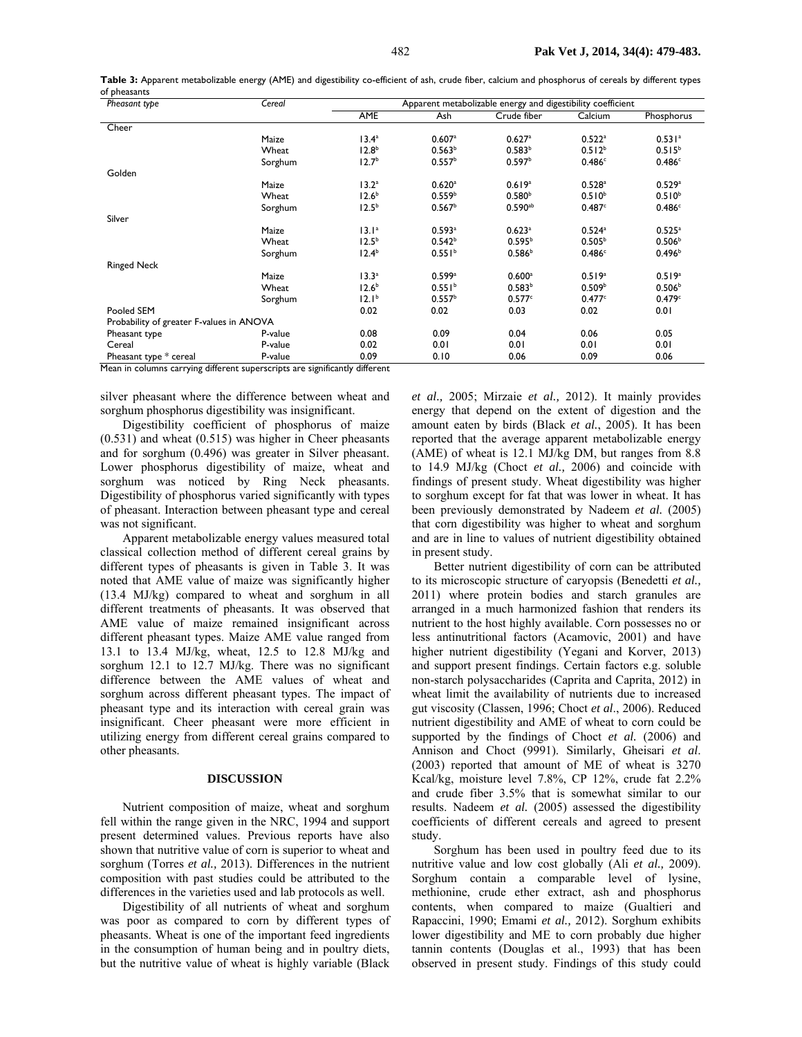| Pheasant type                            | Cereal  | Apparent metabolizable energy and digestibility coefficient |                      |                      |                      |                      |
|------------------------------------------|---------|-------------------------------------------------------------|----------------------|----------------------|----------------------|----------------------|
|                                          |         | <b>AME</b>                                                  | Ash                  | Crude fiber          | Calcium              | Phosphorus           |
| Cheer                                    |         |                                                             |                      |                      |                      |                      |
|                                          | Maize   | 13.4 <sup>a</sup>                                           | 0.607a               | 0.627a               | $0.522$ <sup>a</sup> | 0.531a               |
|                                          | Wheat   | 12.8 <sup>b</sup>                                           | 0.563 <sup>b</sup>   | 0.583 <sup>b</sup>   | $0.512^{b}$          | $0.515^{b}$          |
|                                          | Sorghum | 12.7 <sup>b</sup>                                           | 0.557 <sup>b</sup>   | 0.597 <sup>b</sup>   | 0.486c               | 0.486c               |
| Golden                                   |         |                                                             |                      |                      |                      |                      |
|                                          | Maize   | 13.2 <sup>a</sup>                                           | $0.620$ <sup>a</sup> | 0.619a               | $0.528$ <sup>a</sup> | 0.529a               |
|                                          | Wheat   | 12.6 <sup>b</sup>                                           | 0.559 <sup>b</sup>   | 0.580 <sup>b</sup>   | $0.510^{b}$          | $0.510^{b}$          |
|                                          | Sorghum | 12.5 <sup>b</sup>                                           | 0.567 <sup>b</sup>   | $0.590^{ab}$         | 0.487c               | 0.486c               |
| Silver                                   |         |                                                             |                      |                      |                      |                      |
|                                          | Maize   | 13.1 <sup>a</sup>                                           | $0.593$ <sup>a</sup> | $0.623$ <sup>a</sup> | $0.524$ <sup>a</sup> | $0.525$ <sup>a</sup> |
|                                          | Wheat   | $12.5^{b}$                                                  | $0.542^{b}$          | $0.595^{b}$          | 0.505 <sup>b</sup>   | 0.506 <sup>b</sup>   |
|                                          | Sorghum | 12.4 <sup>b</sup>                                           | 0.551 <sup>b</sup>   | 0.586 <sup>b</sup>   | 0.486c               | 0.496 <sup>b</sup>   |
| <b>Ringed Neck</b>                       |         |                                                             |                      |                      |                      |                      |
|                                          | Maize   | 13.3 <sup>a</sup>                                           | $0.599$ <sup>a</sup> | $0.600$ <sup>a</sup> | 0.519a               | 0.519a               |
|                                          | Wheat   | 12.6 <sup>b</sup>                                           | 0.551 <sup>b</sup>   | 0.583 <sup>b</sup>   | 0.509 <sup>b</sup>   | 0.506 <sup>b</sup>   |
|                                          | Sorghum | 12.1 <sup>b</sup>                                           | 0.557 <sup>b</sup>   | 0.577c               | 0.477c               | 0.479c               |
| Pooled SEM                               |         | 0.02                                                        | 0.02                 | 0.03                 | 0.02                 | 0.01                 |
| Probability of greater F-values in ANOVA |         |                                                             |                      |                      |                      |                      |
| Pheasant type                            | P-value | 0.08                                                        | 0.09                 | 0.04                 | 0.06                 | 0.05                 |
| Cereal                                   | P-value | 0.02                                                        | 0.01                 | 0.01                 | 0.01                 | 0.01                 |
| Pheasant type * cereal                   | P-value | 0.09                                                        | 0.10                 | 0.06                 | 0.09                 | 0.06                 |

**Table 3:** Apparent metabolizable energy (AME) and digestibility co-efficient of ash, crude fiber, calcium and phosphorus of cereals by different types of pheasants

Mean in columns carrying different superscripts are significantly different

silver pheasant where the difference between wheat and sorghum phosphorus digestibility was insignificant.

Digestibility coefficient of phosphorus of maize (0.531) and wheat (0.515) was higher in Cheer pheasants and for sorghum (0.496) was greater in Silver pheasant. Lower phosphorus digestibility of maize, wheat and sorghum was noticed by Ring Neck pheasants. Digestibility of phosphorus varied significantly with types of pheasant. Interaction between pheasant type and cereal was not significant.

Apparent metabolizable energy values measured total classical collection method of different cereal grains by different types of pheasants is given in Table 3. It was noted that AME value of maize was significantly higher (13.4 MJ/kg) compared to wheat and sorghum in all different treatments of pheasants. It was observed that AME value of maize remained insignificant across different pheasant types. Maize AME value ranged from 13.1 to 13.4 MJ/kg, wheat, 12.5 to 12.8 MJ/kg and sorghum 12.1 to 12.7 MJ/kg. There was no significant difference between the AME values of wheat and sorghum across different pheasant types. The impact of pheasant type and its interaction with cereal grain was insignificant. Cheer pheasant were more efficient in utilizing energy from different cereal grains compared to other pheasants.

#### **DISCUSSION**

Nutrient composition of maize, wheat and sorghum fell within the range given in the NRC, 1994 and support present determined values. Previous reports have also shown that nutritive value of corn is superior to wheat and sorghum (Torres *et al.,* 2013). Differences in the nutrient composition with past studies could be attributed to the differences in the varieties used and lab protocols as well.

Digestibility of all nutrients of wheat and sorghum was poor as compared to corn by different types of pheasants. Wheat is one of the important feed ingredients in the consumption of human being and in poultry diets, but the nutritive value of wheat is highly variable (Black

*et al.,* 2005; Mirzaie *et al.,* 2012). It mainly provides energy that depend on the extent of digestion and the amount eaten by birds (Black *et al.*, 2005). It has been reported that the average apparent metabolizable energy (AME) of wheat is 12.1 MJ/kg DM, but ranges from 8.8 to 14.9 MJ/kg (Choct *et al.,* 2006) and coincide with findings of present study. Wheat digestibility was higher to sorghum except for fat that was lower in wheat. It has been previously demonstrated by Nadeem *et al.* (2005) that corn digestibility was higher to wheat and sorghum and are in line to values of nutrient digestibility obtained in present study.

Better nutrient digestibility of corn can be attributed to its microscopic structure of caryopsis (Benedetti *et al.,*  2011) where protein bodies and starch granules are arranged in a much harmonized fashion that renders its nutrient to the host highly available. Corn possesses no or less antinutritional factors (Acamovic, 2001) and have higher nutrient digestibility (Yegani and Korver, 2013) and support present findings. Certain factors e.g. soluble non-starch polysaccharides (Caprita and Caprita, 2012) in wheat limit the availability of nutrients due to increased gut viscosity (Classen, 1996; Choct *et al*., 2006). Reduced nutrient digestibility and AME of wheat to corn could be supported by the findings of Choct *et al.* (2006) and Annison and Choct (9991). Similarly, Gheisari *et al*. (2003) reported that amount of ME of wheat is 3270 Kcal/kg, moisture level 7.8%, CP 12%, crude fat 2.2% and crude fiber 3.5% that is somewhat similar to our results. Nadeem *et al.* (2005) assessed the digestibility coefficients of different cereals and agreed to present study.

Sorghum has been used in poultry feed due to its nutritive value and low cost globally (Ali *et al.,* 2009). Sorghum contain a comparable level of lysine, methionine, crude ether extract, ash and phosphorus contents, when compared to maize (Gualtieri and Rapaccini, 1990; Emami *et al.,* 2012). Sorghum exhibits lower digestibility and ME to corn probably due higher tannin contents (Douglas et al., 1993) that has been observed in present study. Findings of this study could